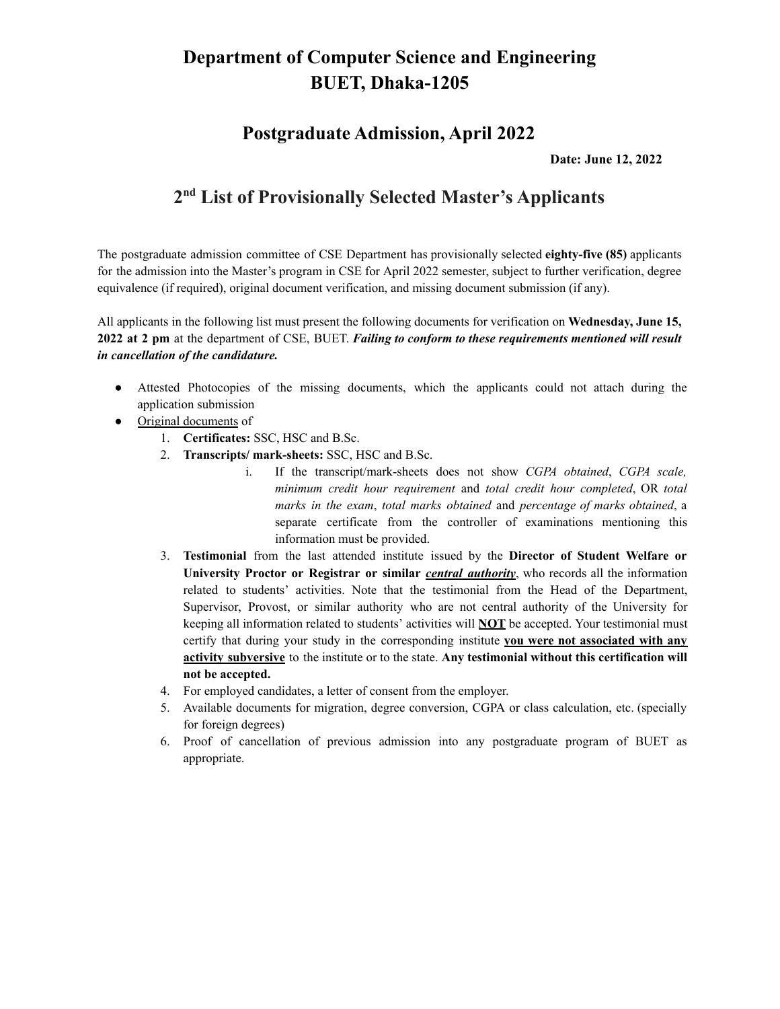#### **Postgraduate Admission, April 2022**

**Date: June 12, 2022**

#### **2 nd List of Provisionally Selected Master's Applicants**

The postgraduate admission committee of CSE Department has provisionally selected **eighty-five (85)** applicants for the admission into the Master's program in CSE for April 2022 semester, subject to further verification, degree equivalence (if required), original document verification, and missing document submission (if any).

All applicants in the following list must present the following documents for verification on **Wednesday, June 15, 2022 at 2 pm** at the department of CSE, BUET. *Failing to conform to these requirements mentioned will result in cancellation of the candidature.*

- Attested Photocopies of the missing documents, which the applicants could not attach during the application submission
- Original documents of
	- 1. **Certificates:** SSC, HSC and B.Sc.
	- 2. **Transcripts/ mark-sheets:** SSC, HSC and B.Sc.
		- i. If the transcript/mark-sheets does not show *CGPA obtained*, *CGPA scale, minimum credit hour requirement* and *total credit hour completed*, OR *total marks in the exam*, *total marks obtained* and *percentage of marks obtained*, a separate certificate from the controller of examinations mentioning this information must be provided.
	- 3. **Testimonial** from the last attended institute issued by the **Director of Student Welfare or University Proctor or Registrar or similar** *central authority*, who records all the information related to students' activities. Note that the testimonial from the Head of the Department, Supervisor, Provost, or similar authority who are not central authority of the University for keeping all information related to students' activities will **NOT** be accepted. Your testimonial must certify that during your study in the corresponding institute **you were not associated with any activity subversive** to the institute or to the state. **Any testimonial without this certification will not be accepted.**
	- 4. For employed candidates, a letter of consent from the employer.
	- 5. Available documents for migration, degree conversion, CGPA or class calculation, etc. (specially for foreign degrees)
	- 6. Proof of cancellation of previous admission into any postgraduate program of BUET as appropriate.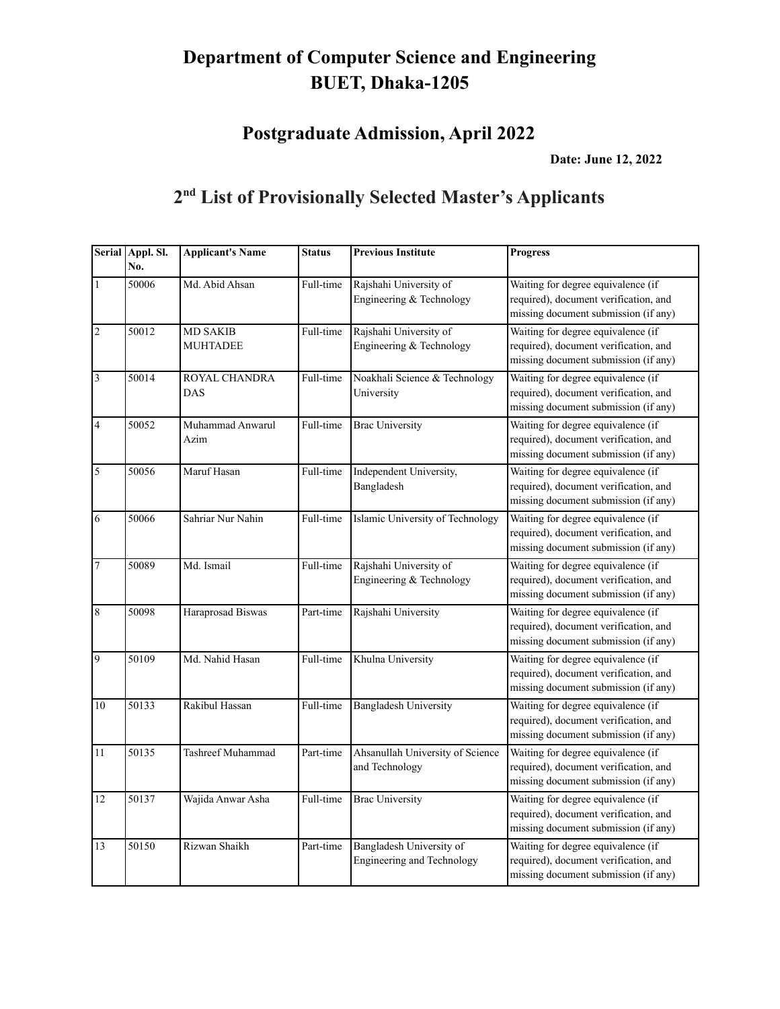**Postgraduate Admission, April 2022**

**Date: June 12, 2022**

|                 | Serial Appl. Sl.<br>No. | <b>Applicant's Name</b>            | <b>Status</b> | <b>Previous Institute</b>                                     | <b>Progress</b>                                                                                                     |
|-----------------|-------------------------|------------------------------------|---------------|---------------------------------------------------------------|---------------------------------------------------------------------------------------------------------------------|
| $\mathbf{1}$    | 50006                   | Md. Abid Ahsan                     | Full-time     | Rajshahi University of<br>Engineering & Technology            | Waiting for degree equivalence (if<br>required), document verification, and<br>missing document submission (if any) |
| $\vert$ 2       | 50012                   | <b>MD SAKIB</b><br><b>MUHTADEE</b> | Full-time     | Rajshahi University of<br>Engineering & Technology            | Waiting for degree equivalence (if<br>required), document verification, and<br>missing document submission (if any) |
| $\vert$ 3       | 50014                   | ROYAL CHANDRA<br><b>DAS</b>        | Full-time     | Noakhali Science & Technology<br>University                   | Waiting for degree equivalence (if<br>required), document verification, and<br>missing document submission (if any) |
| $\vert 4 \vert$ | 50052                   | Muhammad Anwarul<br>Azim           | Full-time     | <b>Brac University</b>                                        | Waiting for degree equivalence (if<br>required), document verification, and<br>missing document submission (if any) |
| 5               | 50056                   | Maruf Hasan                        | Full-time     | Independent University,<br>Bangladesh                         | Waiting for degree equivalence (if<br>required), document verification, and<br>missing document submission (if any) |
| 6               | 50066                   | Sahriar Nur Nahin                  | Full-time     | Islamic University of Technology                              | Waiting for degree equivalence (if<br>required), document verification, and<br>missing document submission (if any) |
| $\overline{7}$  | 50089                   | Md. Ismail                         | Full-time     | Rajshahi University of<br>Engineering & Technology            | Waiting for degree equivalence (if<br>required), document verification, and<br>missing document submission (if any) |
| $\vert 8$       | 50098                   | Haraprosad Biswas                  | Part-time     | Rajshahi University                                           | Waiting for degree equivalence (if<br>required), document verification, and<br>missing document submission (if any) |
| $\overline{9}$  | 50109                   | Md. Nahid Hasan                    | Full-time     | Khulna University                                             | Waiting for degree equivalence (if<br>required), document verification, and<br>missing document submission (if any) |
| 10              | 50133                   | Rakibul Hassan                     | Full-time     | <b>Bangladesh University</b>                                  | Waiting for degree equivalence (if<br>required), document verification, and<br>missing document submission (if any) |
| 11              | 50135                   | Tashreef Muhammad                  | Part-time     | Ahsanullah University of Science<br>and Technology            | Waiting for degree equivalence (if<br>required), document verification, and<br>missing document submission (if any) |
| 12              | 50137                   | Wajida Anwar Asha                  | Full-time     | <b>Brac University</b>                                        | Waiting for degree equivalence (if<br>required), document verification, and<br>missing document submission (if any) |
| 13              | 50150                   | Rizwan Shaikh                      | Part-time     | Bangladesh University of<br><b>Engineering and Technology</b> | Waiting for degree equivalence (if<br>required), document verification, and<br>missing document submission (if any) |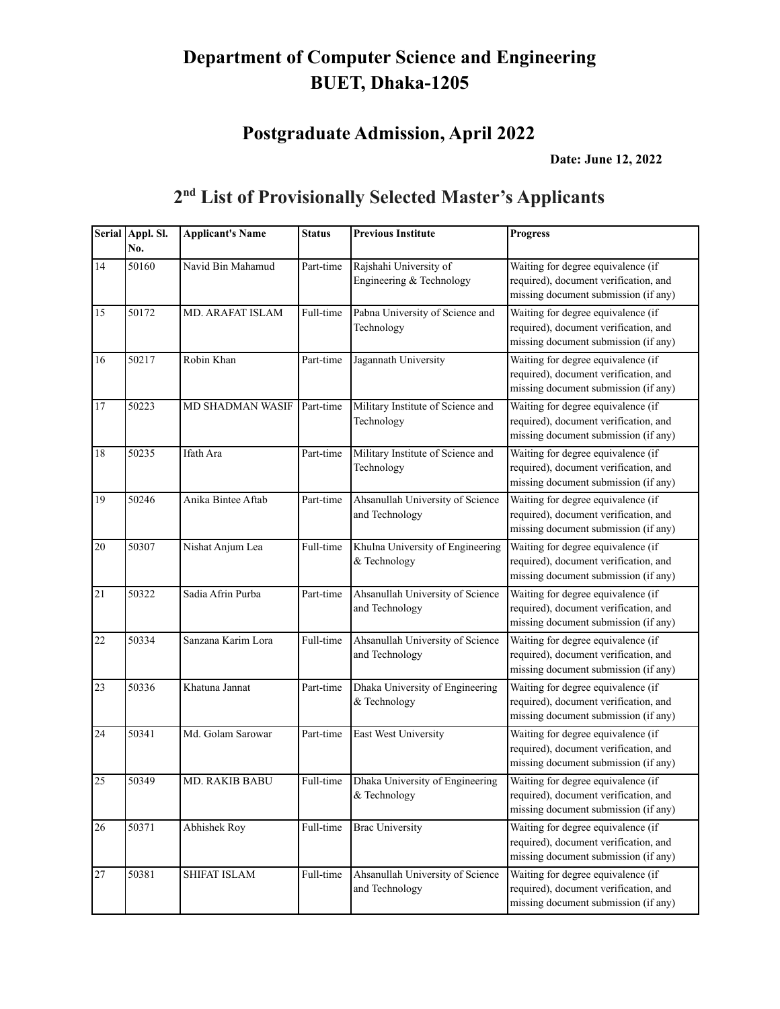#### **Postgraduate Admission, April 2022**

**Date: June 12, 2022**

#### **Serial Appl. Sl. No. Applicant's Name Status Previous Institute Progress** 14 50160 Navid Bin Mahamud Part-time Rajshahi University of Engineering & Technology Waiting for degree equivalence (if required), document verification, and missing document submission (if any) 15 50172 MD. ARAFAT ISLAM Full-time Pabna University of Science and Technology Waiting for degree equivalence (if required), document verification, and missing document submission (if any) 16 50217 Robin Khan Part-time Jagannath University Waiting for degree equivalence (if required), document verification, and missing document submission (if any) 17 50223 MD SHADMAN WASIF Part-time Military Institute of Science and Technology Waiting for degree equivalence (if required), document verification, and missing document submission (if any) 18 50235 Ifath Ara Part-time Military Institute of Science and Technology Waiting for degree equivalence (if required), document verification, and missing document submission (if any) 19 50246 Anika Bintee Aftab Part-time Ahsanullah University of Science and Technology Waiting for degree equivalence (if required), document verification, and missing document submission (if any) 20 50307 Nishat Anjum Lea Full-time Khulna University of Engineering & Technology Waiting for degree equivalence (if required), document verification, and missing document submission (if any) 21 50322 Sadia Afrin Purba Part-time Ahsanullah University of Science and Technology Waiting for degree equivalence (if required), document verification, and missing document submission (if any) 22 50334 Sanzana Karim Lora Full-time Ahsanullah University of Science and Technology Waiting for degree equivalence (if required), document verification, and missing document submission (if any) 23 50336 Khatuna Jannat Part-time Dhaka University of Engineering & Technology Waiting for degree equivalence (if required), document verification, and missing document submission (if any) 24 50341 Md. Golam Sarowar Part-time East West University Waiting for degree equivalence (if required), document verification, and missing document submission (if any) 25 50349 MD. RAKIB BABU Full-time Dhaka University of Engineering & Technology Waiting for degree equivalence (if required), document verification, and missing document submission (if any) 26 50371 Abhishek Roy Full-time Brac University Waiting for degree equivalence (if required), document verification, and missing document submission (if any) 27 50381 SHIFAT ISLAM Full-time Ahsanullah University of Science and Technology Waiting for degree equivalence (if required), document verification, and missing document submission (if any)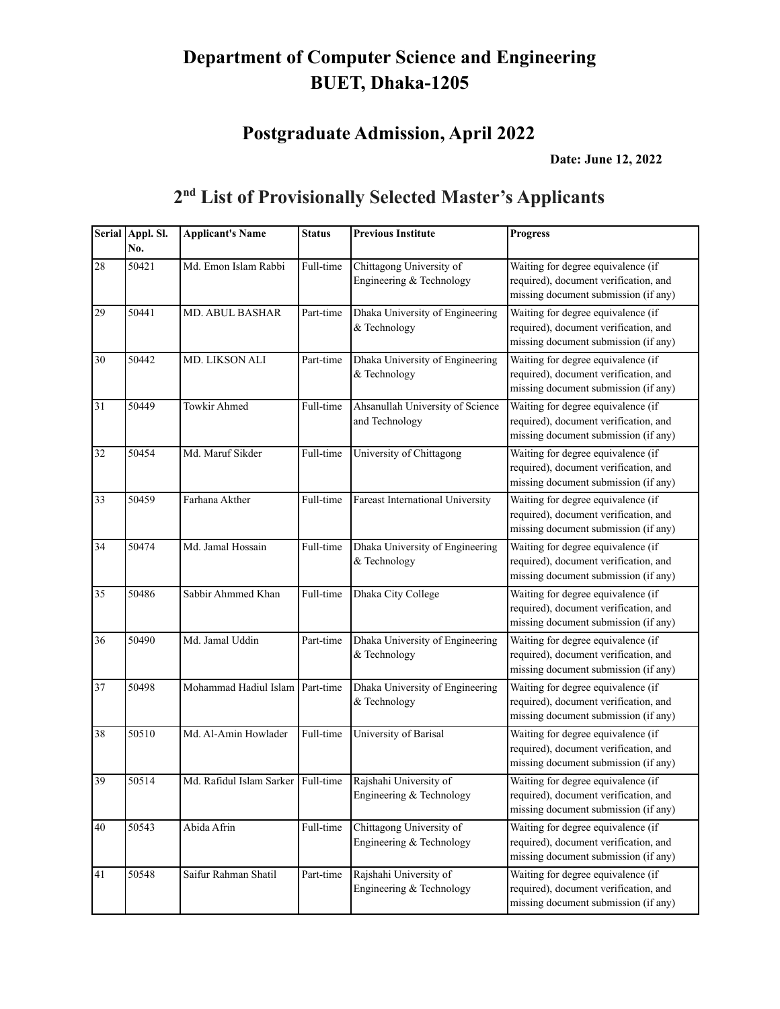#### **Postgraduate Admission, April 2022**

**Date: June 12, 2022**

#### **Serial Appl. Sl. No. Applicant's Name Status Previous Institute Progress** 28 50421 Md. Emon Islam Rabbi Full-time Chittagong University of Engineering & Technology Waiting for degree equivalence (if required), document verification, and missing document submission (if any) 29 50441 MD. ABUL BASHAR Part-time Dhaka University of Engineering & Technology Waiting for degree equivalence (if required), document verification, and missing document submission (if any) 30 50442 MD. LIKSON ALI Part-time Dhaka University of Engineering & Technology Waiting for degree equivalence (if required), document verification, and missing document submission (if any) 31 50449 Towkir Ahmed Full-time Ahsanullah University of Science and Technology Waiting for degree equivalence (if required), document verification, and missing document submission (if any) 32 50454 Md. Maruf Sikder Full-time University of Chittagong Waiting for degree equivalence (if required), document verification, and missing document submission (if any) 33 50459 Farhana Akther Full-time Fareast International University Waiting for degree equivalence (if required), document verification, and missing document submission (if any) 34 50474 Md. Jamal Hossain Full-time Dhaka University of Engineering & Technology Waiting for degree equivalence (if required), document verification, and missing document submission (if any) 35 50486 Sabbir Ahmmed Khan Full-time Dhaka City College Waiting for degree equivalence (if required), document verification, and missing document submission (if any) 36 50490 Md. Jamal Uddin Part-time Dhaka University of Engineering & Technology Waiting for degree equivalence (if required), document verification, and missing document submission (if any) 37 50498 Mohammad Hadiul Islam Part-time Dhaka University of Engineering & Technology Waiting for degree equivalence (if required), document verification, and missing document submission (if any) 38 50510 Md. Al-Amin Howlader Full-time University of Barisal Waiting for degree equivalence (if required), document verification, and missing document submission (if any) 39 50514 Md. Rafidul Islam Sarker Full-time Rajshahi University of Engineering & Technology Waiting for degree equivalence (if required), document verification, and missing document submission (if any) 40 50543 Abida Afrin Full-time Chittagong University of Engineering & Technology Waiting for degree equivalence (if required), document verification, and missing document submission (if any) 41 50548 Saifur Rahman Shatil Part-time Rajshahi University of Engineering & Technology Waiting for degree equivalence (if required), document verification, and missing document submission (if any)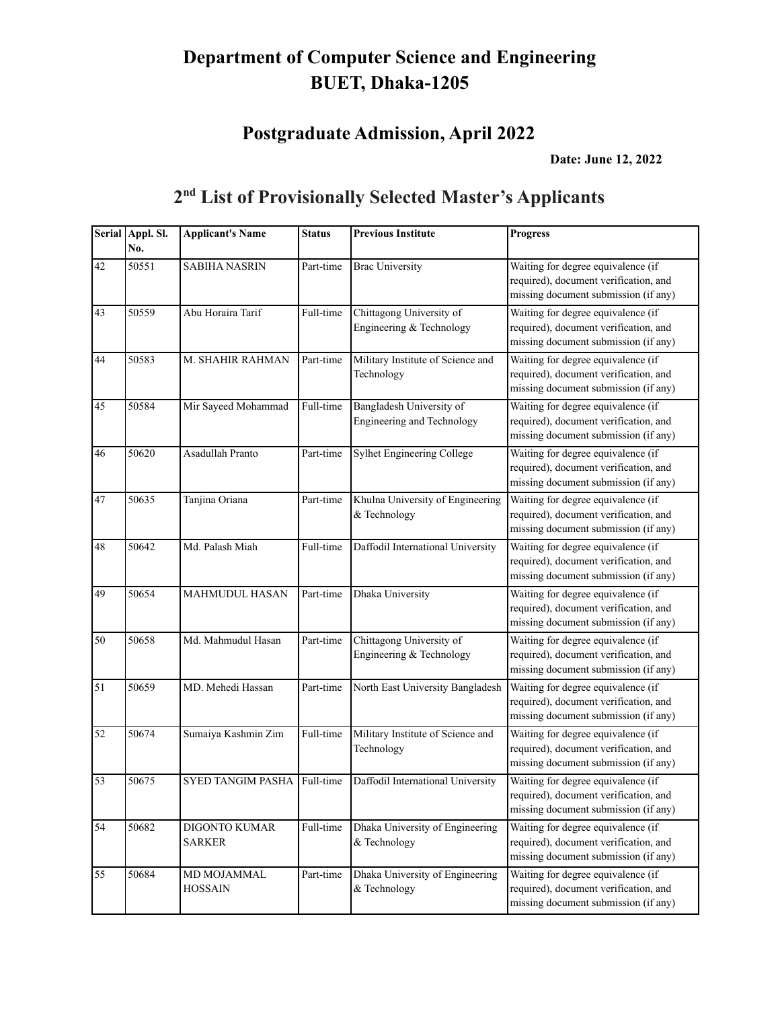# **Postgraduate Admission, April 2022**

**Date: June 12, 2022**

| <b>Serial</b> | Appl. Sl.<br>No. | <b>Applicant's Name</b>        | <b>Status</b> | <b>Previous Institute</b>                              | <b>Progress</b>                                                                                                     |
|---------------|------------------|--------------------------------|---------------|--------------------------------------------------------|---------------------------------------------------------------------------------------------------------------------|
| 42            | 50551            | <b>SABIHA NASRIN</b>           | Part-time     | <b>Brac University</b>                                 | Waiting for degree equivalence (if<br>required), document verification, and<br>missing document submission (if any) |
| 43            | 50559            | Abu Horaira Tarif              | Full-time     | Chittagong University of<br>Engineering & Technology   | Waiting for degree equivalence (if<br>required), document verification, and<br>missing document submission (if any) |
| 44            | 50583            | M. SHAHIR RAHMAN               | Part-time     | Military Institute of Science and<br>Technology        | Waiting for degree equivalence (if<br>required), document verification, and<br>missing document submission (if any) |
| 45            | 50584            | Mir Sayeed Mohammad            | Full-time     | Bangladesh University of<br>Engineering and Technology | Waiting for degree equivalence (if<br>required), document verification, and<br>missing document submission (if any) |
| 46            | 50620            | Asadullah Pranto               | Part-time     | Sylhet Engineering College                             | Waiting for degree equivalence (if<br>required), document verification, and<br>missing document submission (if any) |
| 47            | 50635            | Tanjina Oriana                 | Part-time     | Khulna University of Engineering<br>& Technology       | Waiting for degree equivalence (if<br>required), document verification, and<br>missing document submission (if any) |
| 48            | 50642            | Md. Palash Miah                | Full-time     | Daffodil International University                      | Waiting for degree equivalence (if<br>required), document verification, and<br>missing document submission (if any) |
| 49            | 50654            | <b>MAHMUDUL HASAN</b>          | Part-time     | Dhaka University                                       | Waiting for degree equivalence (if<br>required), document verification, and<br>missing document submission (if any) |
| 50            | 50658            | Md. Mahmudul Hasan             | Part-time     | Chittagong University of<br>Engineering & Technology   | Waiting for degree equivalence (if<br>required), document verification, and<br>missing document submission (if any) |
| 51            | 50659            | MD. Mehedi Hassan              | Part-time     | North East University Bangladesh                       | Waiting for degree equivalence (if<br>required), document verification, and<br>missing document submission (if any) |
| 52            | 50674            | Sumaiya Kashmin Zim            | Full-time     | Military Institute of Science and<br>Technology        | Waiting for degree equivalence (if<br>required), document verification, and<br>missing document submission (if any) |
| 53            | 50675            | SYED TANGIM PASHA              | Full-time     | Daffodil International University                      | Waiting for degree equivalence (if<br>required), document verification, and<br>missing document submission (if any) |
| 54            | 50682            | DIGONTO KUMAR<br><b>SARKER</b> | Full-time     | Dhaka University of Engineering<br>& Technology        | Waiting for degree equivalence (if<br>required), document verification, and<br>missing document submission (if any) |
| 55            | 50684            | MD MOJAMMAL<br><b>HOSSAIN</b>  | Part-time     | Dhaka University of Engineering<br>& Technology        | Waiting for degree equivalence (if<br>required), document verification, and<br>missing document submission (if any) |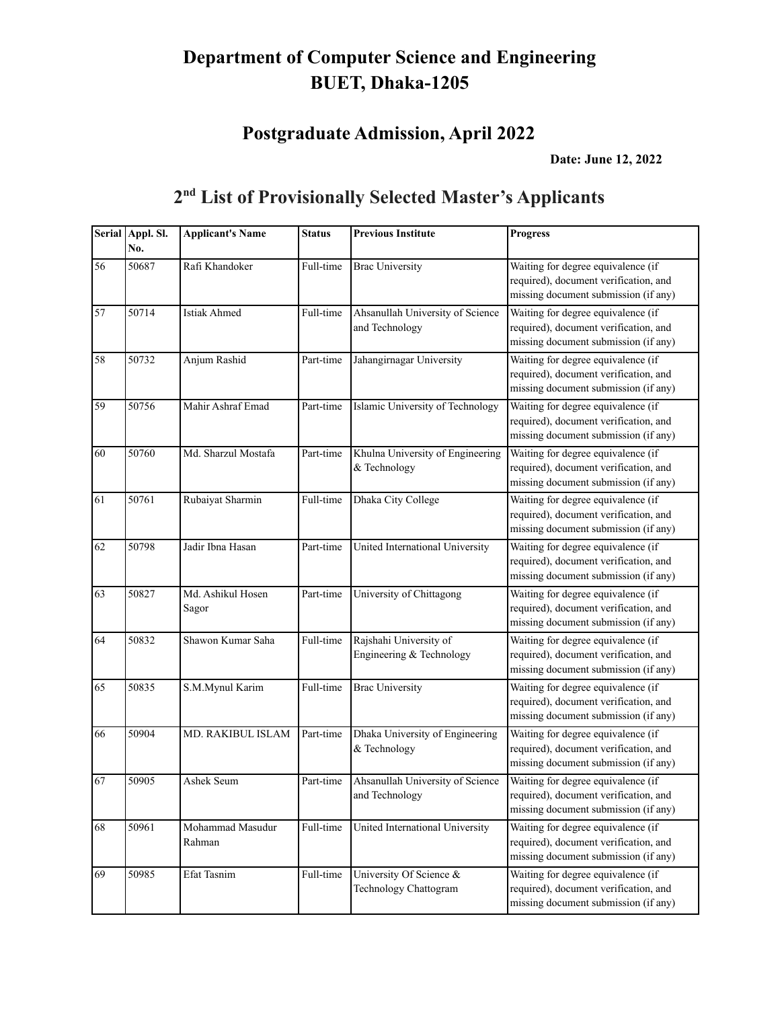# **Postgraduate Admission, April 2022**

**Date: June 12, 2022**

|    | Serial Appl. Sl.<br>No. | <b>Applicant's Name</b>    | <b>Status</b> | <b>Previous Institute</b>                          | <b>Progress</b>                                                                                                     |
|----|-------------------------|----------------------------|---------------|----------------------------------------------------|---------------------------------------------------------------------------------------------------------------------|
| 56 | 50687                   | Rafi Khandoker             | Full-time     | <b>Brac University</b>                             | Waiting for degree equivalence (if<br>required), document verification, and<br>missing document submission (if any) |
| 57 | 50714                   | <b>Istiak Ahmed</b>        | Full-time     | Ahsanullah University of Science<br>and Technology | Waiting for degree equivalence (if<br>required), document verification, and<br>missing document submission (if any) |
| 58 | 50732                   | Anjum Rashid               | Part-time     | Jahangirnagar University                           | Waiting for degree equivalence (if<br>required), document verification, and<br>missing document submission (if any) |
| 59 | 50756                   | Mahir Ashraf Emad          | Part-time     | Islamic University of Technology                   | Waiting for degree equivalence (if<br>required), document verification, and<br>missing document submission (if any) |
| 60 | 50760                   | Md. Sharzul Mostafa        | Part-time     | Khulna University of Engineering<br>& Technology   | Waiting for degree equivalence (if<br>required), document verification, and<br>missing document submission (if any) |
| 61 | 50761                   | Rubaiyat Sharmin           | Full-time     | Dhaka City College                                 | Waiting for degree equivalence (if<br>required), document verification, and<br>missing document submission (if any) |
| 62 | 50798                   | Jadir Ibna Hasan           | Part-time     | United International University                    | Waiting for degree equivalence (if<br>required), document verification, and<br>missing document submission (if any) |
| 63 | 50827                   | Md. Ashikul Hosen<br>Sagor | Part-time     | University of Chittagong                           | Waiting for degree equivalence (if<br>required), document verification, and<br>missing document submission (if any) |
| 64 | 50832                   | Shawon Kumar Saha          | Full-time     | Rajshahi University of<br>Engineering & Technology | Waiting for degree equivalence (if<br>required), document verification, and<br>missing document submission (if any) |
| 65 | 50835                   | S.M.Mynul Karim            | Full-time     | <b>Brac University</b>                             | Waiting for degree equivalence (if<br>required), document verification, and<br>missing document submission (if any) |
| 66 | 50904                   | MD. RAKIBUL ISLAM          | Part-time     | Dhaka University of Engineering<br>& Technology    | Waiting for degree equivalence (if<br>required), document verification, and<br>missing document submission (if any) |
| 67 | 50905                   | Ashek Seum                 | Part-time     | Ahsanullah University of Science<br>and Technology | Waiting for degree equivalence (if<br>required), document verification, and<br>missing document submission (if any) |
| 68 | 50961                   | Mohammad Masudur<br>Rahman | Full-time     | United International University                    | Waiting for degree equivalence (if<br>required), document verification, and<br>missing document submission (if any) |
| 69 | 50985                   | Efat Tasnim                | Full-time     | University Of Science &<br>Technology Chattogram   | Waiting for degree equivalence (if<br>required), document verification, and<br>missing document submission (if any) |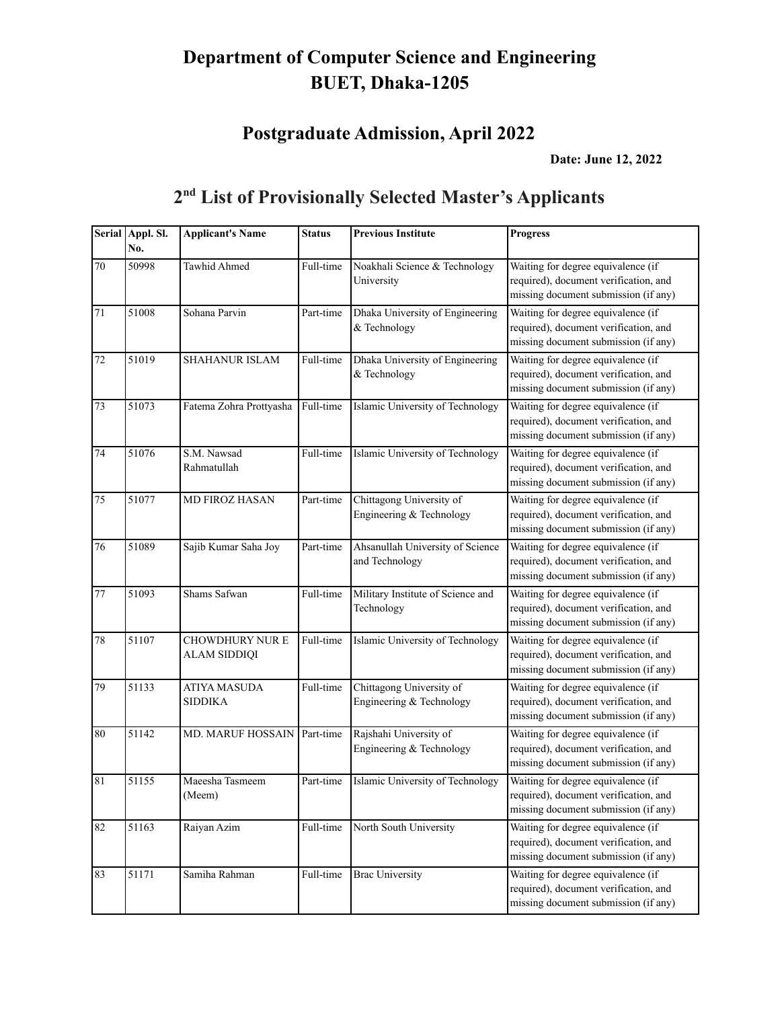# **Postgraduate Admission, April 2022**

**Date: June 12, 2022**

|        | Serial Appl. Sl.<br>No. | <b>Applicant's Name</b>                       | <b>Status</b> | <b>Previous Institute</b>                            | <b>Progress</b>                                                                                                     |
|--------|-------------------------|-----------------------------------------------|---------------|------------------------------------------------------|---------------------------------------------------------------------------------------------------------------------|
| 70     | 50998                   | Tawhid Ahmed                                  | Full-time     | Noakhali Science & Technology<br>University          | Waiting for degree equivalence (if<br>required), document verification, and<br>missing document submission (if any) |
| 71     | 51008                   | Sohana Parvin                                 | Part-time     | Dhaka University of Engineering<br>& Technology      | Waiting for degree equivalence (if<br>required), document verification, and<br>missing document submission (if any) |
| 72     | 51019                   | <b>SHAHANUR ISLAM</b>                         | Full-time     | Dhaka University of Engineering<br>& Technology      | Waiting for degree equivalence (if<br>required), document verification, and<br>missing document submission (if any) |
| 73     | 51073                   | Fatema Zohra Prottyasha                       | Full-time     | Islamic University of Technology                     | Waiting for degree equivalence (if<br>required), document verification, and<br>missing document submission (if any) |
| 74     | 51076                   | S.M. Nawsad<br>Rahmatullah                    | Full-time     | Islamic University of Technology                     | Waiting for degree equivalence (if<br>required), document verification, and<br>missing document submission (if any) |
| $75\,$ | 51077                   | <b>MD FIROZ HASAN</b>                         | Part-time     | Chittagong University of<br>Engineering & Technology | Waiting for degree equivalence (if<br>required), document verification, and<br>missing document submission (if any) |
| 76     | 51089                   | Sajib Kumar Saha Joy                          | Part-time     | Ahsanullah University of Science<br>and Technology   | Waiting for degree equivalence (if<br>required), document verification, and<br>missing document submission (if any) |
| 77     | 51093                   | Shams Safwan                                  | Full-time     | Military Institute of Science and<br>Technology      | Waiting for degree equivalence (if<br>required), document verification, and<br>missing document submission (if any) |
| 78     | 51107                   | <b>CHOWDHURY NUR E</b><br><b>ALAM SIDDIQI</b> | Full-time     | Islamic University of Technology                     | Waiting for degree equivalence (if<br>required), document verification, and<br>missing document submission (if any) |
| 79     | 51133                   | <b>ATIYA MASUDA</b><br><b>SIDDIKA</b>         | Full-time     | Chittagong University of<br>Engineering & Technology | Waiting for degree equivalence (if<br>required), document verification, and<br>missing document submission (if any) |
| 80     | 51142                   | MD. MARUF HOSSAIN                             | Part-time     | Rajshahi University of<br>Engineering & Technology   | Waiting for degree equivalence (if<br>required), document verification, and<br>missing document submission (if any) |
| 81     | 51155                   | Maeesha Tasmeem<br>(Meem)                     | Part-time     | Islamic University of Technology                     | Waiting for degree equivalence (if<br>required), document verification, and<br>missing document submission (if any) |
| 82     | 51163                   | Raiyan Azim                                   | Full-time     | North South University                               | Waiting for degree equivalence (if<br>required), document verification, and<br>missing document submission (if any) |
| 83     | 51171                   | Samiha Rahman                                 | Full-time     | <b>Brac University</b>                               | Waiting for degree equivalence (if<br>required), document verification, and<br>missing document submission (if any) |